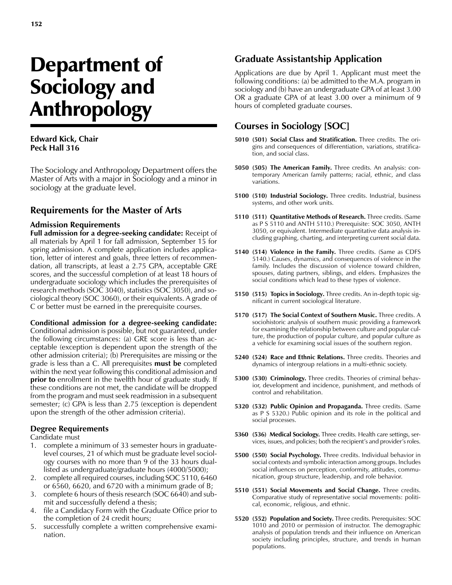# Department of Sociology and Anthropology

#### **Edward Kick, Chair Peck Hall 316**

The Sociology and Anthropology Department offers the Master of Arts with a major in Sociology and a minor in sociology at the graduate level.

# **Requirements for the Master of Arts**

#### **Admission Requirements**

**Full admission for a degree-seeking candidate:** Receipt of all materials by April 1 for fall admission, September 15 for spring admission. A complete application includes application, letter of interest and goals, three letters of recommendation, all transcripts, at least a 2.75 GPA, acceptable GRE scores, and the successful completion of at least 18 hours of undergraduate sociology which includes the prerequisites of research methods (SOC 3040), statistics (SOC 3050), and sociological theory (SOC 3060), or their equivalents. A grade of C or better must be earned in the prerequisite courses.

#### **Conditional admission for a degree-seeking candidate:**

Conditional admission is possible, but not guaranteed, under the following circumstances: (a) GRE score is less than acceptable (exception is dependent upon the strength of the other admission criteria); (b) Prerequisites are missing or the grade is less than a C. All prerequisites **must be** completed within the next year following this conditional admission and **prior to** enrollment in the twelfth hour of graduate study. If these conditions are not met, the candidate will be dropped from the program and must seek readmission in a subsequent semester; (c) GPA is less than 2.75 (exception is dependent upon the strength of the other admission criteria).

#### **Degree Requirements**

Candidate must

- 1. complete a minimum of 33 semester hours in graduatelevel courses, 21 of which must be graduate level sociology courses with no more than 9 of the 33 hours duallisted as undergraduate/graduate hours (4000/5000);
- 2. complete all required courses, including SOC 5110, 6460 or  $6560$ ,  $6620$ , and  $6720$  with a minimum grade of B;
- 3. complete 6 hours of thesis research (SOC 6640) and submit and successfully defend a thesis;
- 4. file a Candidacy Form with the Graduate Office prior to the completion of 24 credit hours;
- 5. successfully complete a written comprehensive examination.

## **Graduate Assistantship Application**

Applications are due by April 1. Applicant must meet the following conditions: (a) be admitted to the M.A. program in sociology and (b) have an undergraduate GPA of at least 3.00 OR a graduate GPA of at least 3.00 over a minimum of 9 hours of completed graduate courses.

## **Courses in Sociology [SOC]**

- **5010 (501) Social Class and Stratification.** Three credits. The origins and consequences of differentiation, variations, stratification, and social class.
- **5050 (505) The American Family.** Three credits. An analysis: contemporary American family patterns; racial, ethnic, and class variations.
- **5100 (510) Industrial Sociology.** Three credits. Industrial, business systems, and other work units.
- **5110 (511) Quantitative Methods of Research.** Three credits. (Same as P S 5110 and ANTH 5110.) Prerequisite: SOC 3050, ANTH 3050, or equivalent. Intermediate quantitative data analysis including graphing, charting, and interpreting current social data.
- **5140 (514) Violence in the Family.** Three credits. (Same as CDFS 5140.) Causes, dynamics, and consequences of violence in the family. Includes the discussion of violence toward children, spouses, dating partners, siblings, and elders. Emphasizes the social conditions which lead to these types of violence.
- **5150 (515) Topics in Sociology.** Three credits. An in-depth topic significant in current sociological literature.
- **5170 (517) The Social Context of Southern Music.** Three credits. A sociohistoric analysis of southern music providing a framework for examining the relationship between culture and popular culture, the production of popular culture, and popular culture as a vehicle for examining social issues of the southern region.
- **5240 (524) Race and Ethnic Relations.** Three credits. Theories and dynamics of intergroup relations in a multi-ethnic society.
- **5300 (530) Criminology.** Three credits. Theories of criminal behavior, development and incidence, punishment, and methods of control and rehabilitation.
- **5320 (532) Public Opinion and Propaganda.** Three credits. (Same as P S 5320.) Public opinion and its role in the political and social processes.
- **5360 (536) Medical Sociology.** Three credits. Health care settings, services, issues, and policies; both the recipient's and provider's roles.
- **5500 (550) Social Psychology.** Three credits. Individual behavior in social contexts and symbolic interaction among groups. Includes social influences on perception, conformity, attitudes, communication, group structure, leadership, and role behavior.
- **5510 (551) Social Movements and Social Change.** Three credits. Comparative study of representative social movements: political, economic, religious, and ethnic.
- **5520 (552) Population and Society.** Three credits. Prerequisites: SOC 1010 and 2010 or permission of instructor. The demographic analysis of population trends and their influence on American society including principles, structure, and trends in human populations.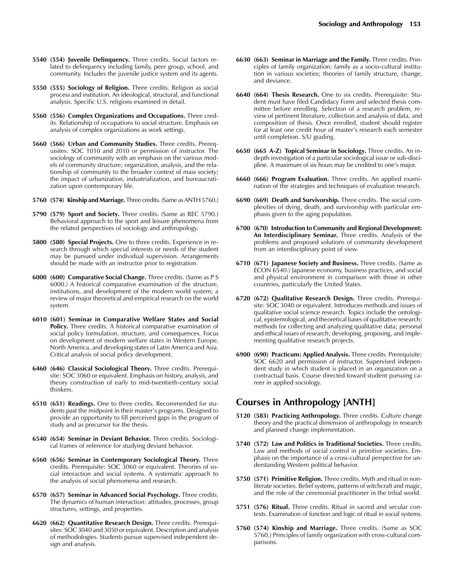- **5540 (554) Juvenile Delinquency.** Three credits. Social factors related to delinquency including family, peer group, school, and community. Includes the juvenile justice system and its agents.
- **5550 (555) Sociology of Religion.** Three credits. Religion as social process and institution. An ideological, structural, and functional analysis. Specific U.S. religions examined in detail.
- **5560 (556) Complex Organizations and Occupations.** Three credits. Relationship of occupations to social structure. Emphasis on analysis of complex organizations as work settings.
- **5660 (566) Urban and Community Studies.** Three credits. Prerequisites: SOC 1010 and 2010 or permission of instructor. The sociology of community with an emphasis on the various models of community structure; organization, analysis, and the relationship of community to the broader context of mass society; the impact of urbanization, industrialization, and bureaucratization upon contemporary life.
- **5760 (574) Kinship and Marriage.** Three credits. (Same as ANTH 5760.)
- **5790 (579) Sport and Society.** Three credits. (Same as REC 5790.) Behavioral approach to the sport and leisure phenomena from the related perspectives of sociology and anthropology.
- **5800 (580) Special Projects.** One to three credits. Experience in research through which special interests or needs of the student may be pursued under individual supervision. Arrangements should be made with an instructor prior to registration.
- **6000 (600) Comparative Social Change.** Three credits. (Same as P S 6000.) A historical comparative examination of the structure, institutions, and development of the modern world system; a review of major theoretical and empirical research on the world system.
- **6010 (601) Seminar in Comparative Welfare States and Social Policy.** Three credits. A historical comparative examination of social policy formulation, structure, and consequences. Focus on development of modern welfare states in Western Europe, North America, and developing states of Latin America and Asia. Critical analysis of social policy development.
- **6460 (646) Classical Sociological Theory.** Three credits. Prerequisite: SOC 3060 or equivalent. Emphasis on history, analysis, and theory construction of early to mid-twentieth-century social thinkers.
- **6510 (651) Readings.** One to three credits. Recommended for students past the midpoint in their master's programs. Designed to provide an opportunity to fill perceived gaps in the program of study and as precursor for the thesis.
- **6540 (654) Seminar in Deviant Behavior.** Three credits. Sociological frames of reference for studying deviant behavior.
- **6560 (656) Seminar in Contemporary Sociological Theory.** Three credits. Prerequisite: SOC 3060 or equivalent. Theories of social interaction and social systems. A systematic approach to the analysis of social phenomena and research.
- **6570 (657) Seminar in Advanced Social Psychology.** Three credits. The dynamics of human interaction: attitudes, processes, group structures, settings, and properties.
- **6620 (662) Quantitative Research Design.** Three credits. Prerequisites: SOC 3040 and 3050 or equivalent. Description and analysis of methodologies. Students pursue supervised independent design and analysis.
- **6630 (663) Seminar in Marriage and the Family.** Three credits. Principles of family organization; family as a socio-cultural institution in various societies; theories of family structure, change, and deviance.
- **6640 (664) Thesis Research.** One to six credits. Prerequisite: Student must have filed Candidacy Form and selected thesis committee before enrolling. Selection of a research problem, review of pertinent literature, collection and analysis of data, and composition of thesis. Once enrolled, student should register for at least one credit hour of master's research each semester until completion. S/U grading.
- **6650 (665 A-Z) Topical Seminar in Sociology.** Three credits. An indepth investigation of a particular sociological issue or sub-discipline. A maximum of six hours may be credited to one's major.
- **6660 (666) Program Evaluation.** Three credits. An applied examination of the strategies and techniques of evaluation research.
- **6690 (669) Death and Survivorship.** Three credits. The social complexities of dying, death, and survivorship with particular emphasis given to the aging population.
- **6700 (670) Introduction to Community and Regional Development: An Interdisciplinary Seminar.** Three credits. Analysis of the problems and proposed solutions of community development from an interdisciplinary point of view.
- **6710 (671) Japanese Society and Business.** Three credits. (Same as ECON 6540.) Japanese economy, business practices, and social and physical environment in comparison with those in other countries, particularly the United States.
- **6720 (672) Qualitative Research Design.** Three credits. Prerequisite: SOC 3040 or equivalent. Introduces methods and issues of qualitative social science research. Topics include the ontological, epistemological, and theoretical bases of qualitative research; methods for collecting and analyzing qualitative data; personal and ethical issues of research; developing, proposing, and implementing qualitative research projects.
- **6900 (690) Practicum: Applied Analysis.** Three credits. Prerequisite: SOC 6620 and permission of instructor. Supervised independent study in which student is placed in an organization on a contractual basis. Course directed toward student pursuing career in applied sociology.

### **Courses in Anthropology [ANTH]**

- **5120 (583) Practicing Anthropology.** Three credits. Culture change theory and the practical dimension of anthropology in research and planned change implementation.
- **5740 (572) Law and Politics in Traditional Societies.** Three credits. Law and methods of social control in primitive societies. Emphasis on the importance of a cross-cultural perspective for understanding Western political behavior.
- **5750 (571) Primitive Religion.** Three credits. Myth and ritual in nonliterate societies. Belief systems, patterns of witchcraft and magic, and the role of the ceremonial practitioner in the tribal world.
- **5751 (576) Ritual.** Three credits. Ritual in sacred and secular contexts. Examination of function and logic of ritual in social systems.
- **5760 (574) Kinship and Marriage.** Three credits. (Same as SOC 5760.) Principles of family organization with cross-cultural comparisons.